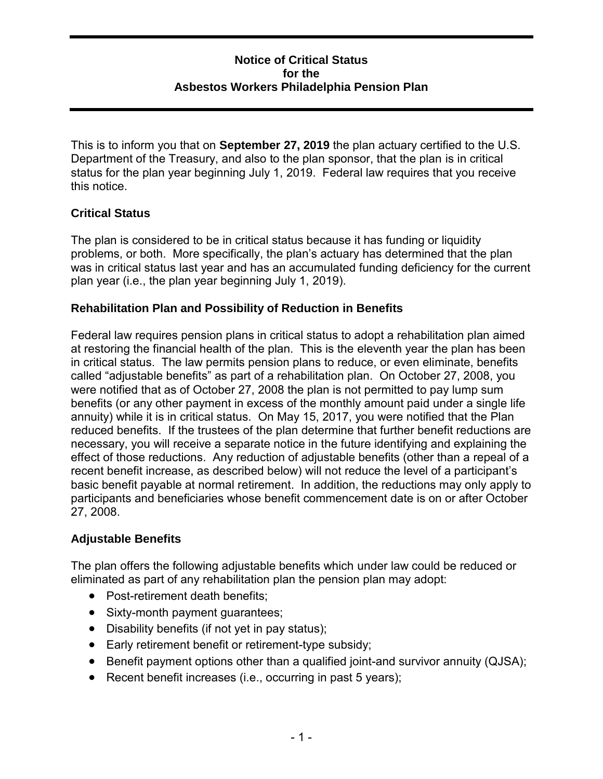### **Notice of Critical Status for the Asbestos Workers Philadelphia Pension Plan**

 This is to inform you that on **September 27, 2019** the plan actuary certified to the U.S. Department of the Treasury, and also to the plan sponsor, that the plan is in critical status for the plan year beginning July 1, 2019. Federal law requires that you receive this notice.

# **Critical Status**

 problems, or both. More specifically, the plan's actuary has determined that the plan The plan is considered to be in critical status because it has funding or liquidity was in critical status last year and has an accumulated funding deficiency for the current plan year (i.e., the plan year beginning July 1, 2019).

### **Rehabilitation Plan and Possibility of Reduction in Benefits**

 at restoring the financial health of the plan. This is the eleventh year the plan has been called "adjustable benefits" as part of a rehabilitation plan. On October 27, 2008, you annuity) while it is in critical status. On May 15, 2017, you were notified that the Plan reduced benefits. If the trustees of the plan determine that further benefit reductions are necessary, you will receive a separate notice in the future identifying and explaining the effect of those reductions. Any reduction of adjustable benefits (other than a repeal of a basic benefit payable at normal retirement. In addition, the reductions may only apply to Federal law requires pension plans in critical status to adopt a rehabilitation plan aimed in critical status. The law permits pension plans to reduce, or even eliminate, benefits were notified that as of October 27, 2008 the plan is not permitted to pay lump sum benefits (or any other payment in excess of the monthly amount paid under a single life recent benefit increase, as described below) will not reduce the level of a participant's participants and beneficiaries whose benefit commencement date is on or after October 27, 2008.

# **Adjustable Benefits**

The plan offers the following adjustable benefits which under law could be reduced or eliminated as part of any rehabilitation plan the pension plan may adopt:

- Post-retirement death benefits;
- Sixty-month payment guarantees;
- Disability benefits (if not yet in pay status);
- Early retirement benefit or retirement-type subsidy;
- Benefit payment options other than a qualified joint-and survivor annuity (QJSA);
- Recent benefit increases (i.e., occurring in past 5 years);